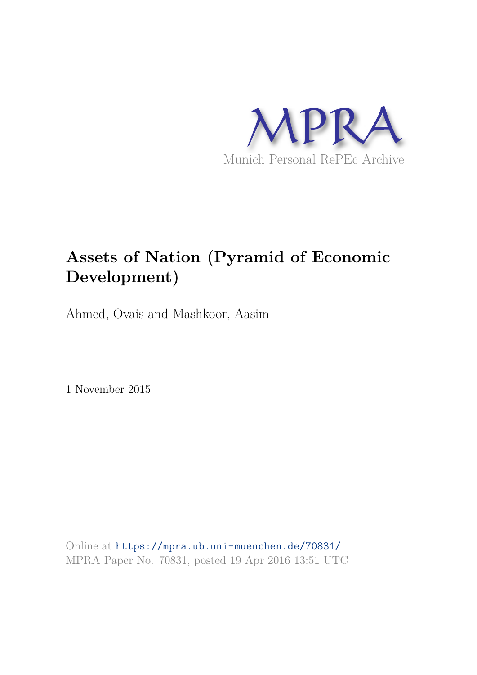

# **Assets of Nation (Pyramid of Economic Development)**

Ahmed, Ovais and Mashkoor, Aasim

1 November 2015

Online at https://mpra.ub.uni-muenchen.de/70831/ MPRA Paper No. 70831, posted 19 Apr 2016 13:51 UTC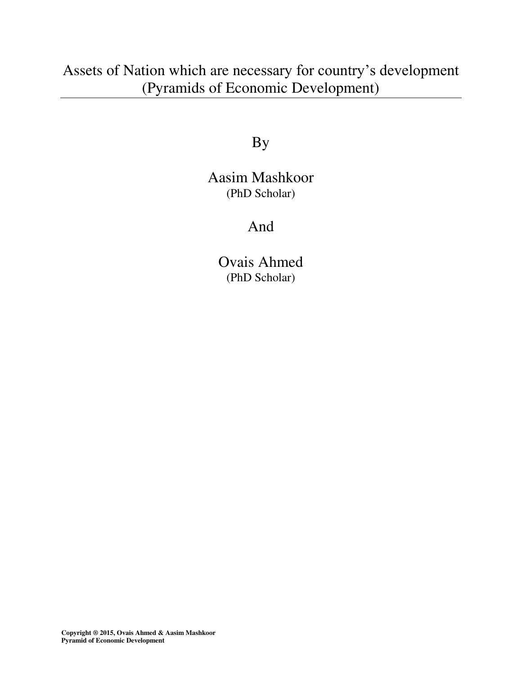Assets of Nation which are necessary for country's development (Pyramids of Economic Development)

By

Aasim Mashkoor (PhD Scholar)

And

Ovais Ahmed (PhD Scholar)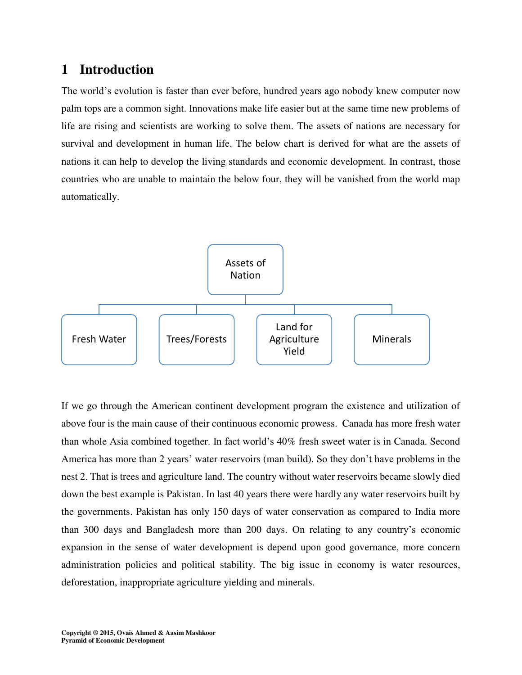## **1 Introduction**

The world's evolution is faster than ever before, hundred years ago nobody knew computer now palm tops are a common sight. Innovations make life easier but at the same time new problems of life are rising and scientists are working to solve them. The assets of nations are necessary for survival and development in human life. The below chart is derived for what are the assets of nations it can help to develop the living standards and economic development. In contrast, those countries who are unable to maintain the below four, they will be vanished from the world map automatically.



If we go through the American continent development program the existence and utilization of above four is the main cause of their continuous economic prowess. Canada has more fresh water than whole Asia combined together. In fact world's 40% fresh sweet water is in Canada. Second America has more than 2 years' water reservoirs (man build). So they don't have problems in the nest 2. That is trees and agriculture land. The country without water reservoirs became slowly died down the best example is Pakistan. In last 40 years there were hardly any water reservoirs built by the governments. Pakistan has only 150 days of water conservation as compared to India more than 300 days and Bangladesh more than 200 days. On relating to any country's economic expansion in the sense of water development is depend upon good governance, more concern administration policies and political stability. The big issue in economy is water resources, deforestation, inappropriate agriculture yielding and minerals.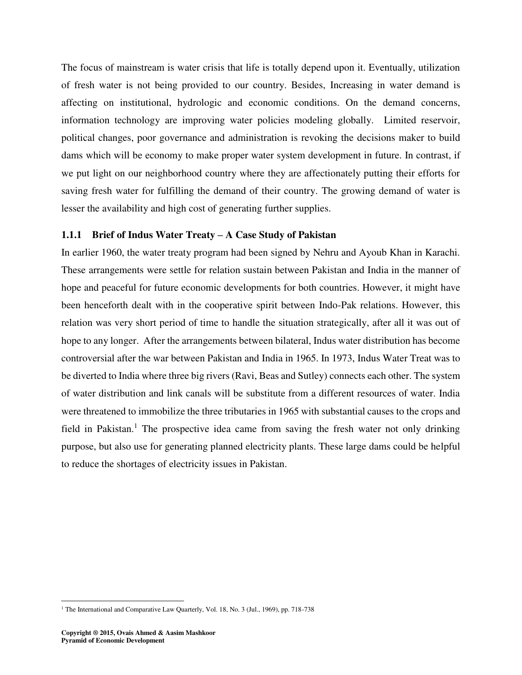The focus of mainstream is water crisis that life is totally depend upon it. Eventually, utilization of fresh water is not being provided to our country. Besides, Increasing in water demand is affecting on institutional, hydrologic and economic conditions. On the demand concerns, information technology are improving water policies modeling globally. Limited reservoir, political changes, poor governance and administration is revoking the decisions maker to build dams which will be economy to make proper water system development in future. In contrast, if we put light on our neighborhood country where they are affectionately putting their efforts for saving fresh water for fulfilling the demand of their country. The growing demand of water is lesser the availability and high cost of generating further supplies.

#### **1.1.1 Brief of Indus Water Treaty – A Case Study of Pakistan**

In earlier 1960, the water treaty program had been signed by Nehru and Ayoub Khan in Karachi. These arrangements were settle for relation sustain between Pakistan and India in the manner of hope and peaceful for future economic developments for both countries. However, it might have been henceforth dealt with in the cooperative spirit between Indo-Pak relations. However, this relation was very short period of time to handle the situation strategically, after all it was out of hope to any longer. After the arrangements between bilateral, Indus water distribution has become controversial after the war between Pakistan and India in 1965. In 1973, Indus Water Treat was to be diverted to India where three big rivers (Ravi, Beas and Sutley) connects each other. The system of water distribution and link canals will be substitute from a different resources of water. India were threatened to immobilize the three tributaries in 1965 with substantial causes to the crops and field in Pakistan.<sup>1</sup> The prospective idea came from saving the fresh water not only drinking purpose, but also use for generating planned electricity plants. These large dams could be helpful to reduce the shortages of electricity issues in Pakistan.

 1 The International and Comparative Law Quarterly, Vol. 18, No. 3 (Jul., 1969), pp. 718-738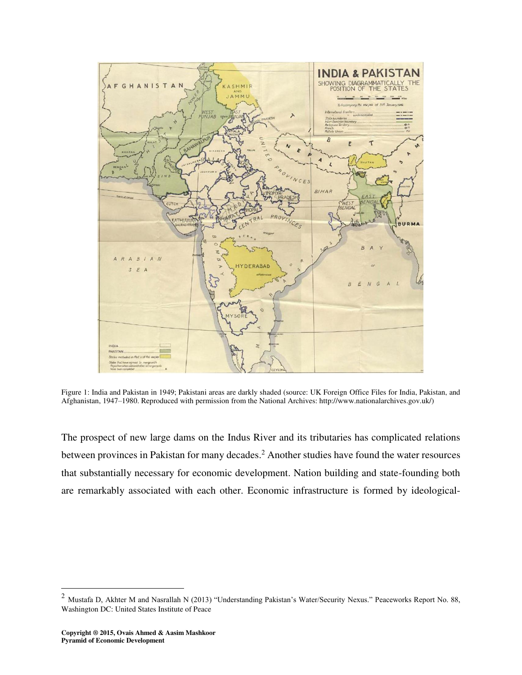

Figure 1: India and Pakistan in 1949; Pakistani areas are darkly shaded (source: UK Foreign Office Files for India, Pakistan, and Afghanistan, 1947–1980. Reproduced with permission from the National Archives: http://www.nationalarchives.gov.uk/)

The prospect of new large dams on the Indus River and its tributaries has complicated relations between provinces in Pakistan for many decades.<sup>2</sup> Another studies have found the water resources that substantially necessary for economic development. Nation building and state-founding both are remarkably associated with each other. Economic infrastructure is formed by ideological-

 $\overline{a}$ 

<sup>&</sup>lt;sup>2</sup> Mustafa D, Akhter M and Nasrallah N (2013) "Understanding Pakistan's Water/Security Nexus." Peaceworks Report No. 88, Washington DC: United States Institute of Peace